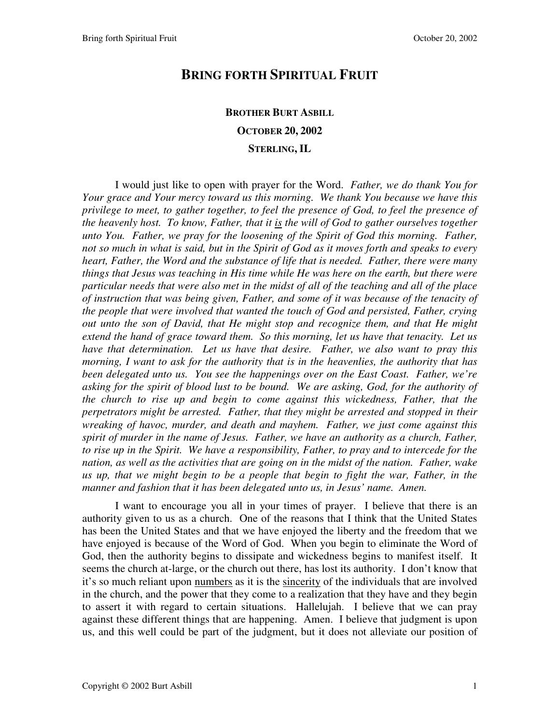## **BRING FORTH SPIRITUAL FRUIT**

## **BROTHER BURT ASBILL OCTOBER 20, 2002 STERLING, IL**

I would just like to open with prayer for the Word. *Father, we do thank You for Your grace and Your mercy toward us this morning. We thank You because we have this privilege to meet, to gather together, to feel the presence of God, to feel the presence of the heavenly host. To know, Father, that it is the will of God to gather ourselves together unto You. Father, we pray for the loosening of the Spirit of God this morning. Father, not so much in what is said, but in the Spirit of God as it moves forth and speaks to every heart, Father, the Word and the substance of life that is needed. Father, there were many things that Jesus was teaching in His time while He was here on the earth, but there were particular needs that were also met in the midst of all of the teaching and all of the place of instruction that was being given, Father, and some of it was because of the tenacity of the people that were involved that wanted the touch of God and persisted, Father, crying out unto the son of David, that He might stop and recognize them, and that He might extend the hand of grace toward them. So this morning, let us have that tenacity. Let us have that determination. Let us have that desire. Father, we also want to pray this morning, I want to ask for the authority that is in the heavenlies, the authority that has been delegated unto us. You see the happenings over on the East Coast. Father, we're asking for the spirit of blood lust to be bound. We are asking, God, for the authority of the church to rise up and begin to come against this wickedness, Father, that the perpetrators might be arrested. Father, that they might be arrested and stopped in their wreaking of havoc, murder, and death and mayhem. Father, we just come against this spirit of murder in the name of Jesus. Father, we have an authority as a church, Father, to rise up in the Spirit. We have a responsibility, Father, to pray and to intercede for the nation, as well as the activities that are going on in the midst of the nation. Father, wake us up, that we might begin to be a people that begin to fight the war, Father, in the manner and fashion that it has been delegated unto us, in Jesus' name. Amen.*

I want to encourage you all in your times of prayer. I believe that there is an authority given to us as a church. One of the reasons that I think that the United States has been the United States and that we have enjoyed the liberty and the freedom that we have enjoyed is because of the Word of God. When you begin to eliminate the Word of God, then the authority begins to dissipate and wickedness begins to manifest itself. It seems the church at-large, or the church out there, has lost its authority. I don't know that it's so much reliant upon numbers as it is the sincerity of the individuals that are involved in the church, and the power that they come to a realization that they have and they begin to assert it with regard to certain situations. Hallelujah. I believe that we can pray against these different things that are happening. Amen. I believe that judgment is upon us, and this well could be part of the judgment, but it does not alleviate our position of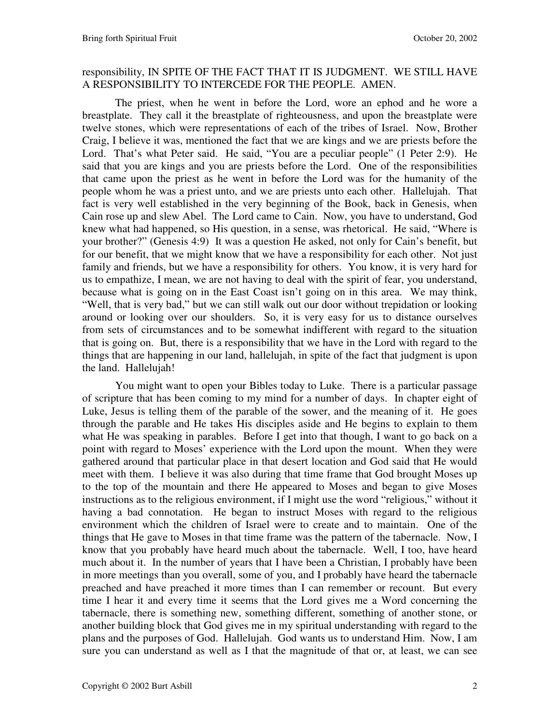## responsibility, IN SPITE OF THE FACT THAT IT IS JUDGMENT. WE STILL HAVE A RESPONSIBILITY TO INTERCEDE FOR THE PEOPLE. AMEN.

The priest, when he went in before the Lord, wore an ephod and he wore a breastplate. They call it the breastplate of righteousness, and upon the breastplate were twelve stones, which were representations of each of the tribes of Israel. Now, Brother Craig, I believe it was, mentioned the fact that we are kings and we are priests before the Lord. That's what Peter said. He said, "You are a peculiar people" (1 Peter 2:9). He said that you are kings and you are priests before the Lord. One of the responsibilities that came upon the priest as he went in before the Lord was for the humanity of the people whom he was a priest unto, and we are priests unto each other. Hallelujah. That fact is very well established in the very beginning of the Book, back in Genesis, when Cain rose up and slew Abel. The Lord came to Cain. Now, you have to understand, God knew what had happened, so His question, in a sense, was rhetorical. He said, "Where is your brother?" (Genesis 4:9) It was a question He asked, not only for Cain's benefit, but for our benefit, that we might know that we have a responsibility for each other. Not just family and friends, but we have a responsibility for others. You know, it is very hard for us to empathize, I mean, we are not having to deal with the spirit of fear, you understand, because what is going on in the East Coast isn't going on in this area. We may think, "Well, that is very bad," but we can still walk out our door without trepidation or looking around or looking over our shoulders. So, it is very easy for us to distance ourselves from sets of circumstances and to be somewhat indifferent with regard to the situation that is going on. But, there is a responsibility that we have in the Lord with regard to the things that are happening in our land, hallelujah, in spite of the fact that judgment is upon the land. Hallelujah!

You might want to open your Bibles today to Luke. There is a particular passage of scripture that has been coming to my mind for a number of days. In chapter eight of Luke, Jesus is telling them of the parable of the sower, and the meaning of it. He goes through the parable and He takes His disciples aside and He begins to explain to them what He was speaking in parables. Before I get into that though, I want to go back on a point with regard to Moses' experience with the Lord upon the mount. When they were gathered around that particular place in that desert location and God said that He would meet with them. I believe it was also during that time frame that God brought Moses up to the top of the mountain and there He appeared to Moses and began to give Moses instructions as to the religious environment, if I might use the word "religious," without it having a bad connotation. He began to instruct Moses with regard to the religious environment which the children of Israel were to create and to maintain. One of the things that He gave to Moses in that time frame was the pattern of the tabernacle. Now, I know that you probably have heard much about the tabernacle. Well, I too, have heard much about it. In the number of years that I have been a Christian, I probably have been in more meetings than you overall, some of you, and I probably have heard the tabernacle preached and have preached it more times than I can remember or recount. But every time I hear it and every time it seems that the Lord gives me a Word concerning the tabernacle, there is something new, something different, something of another stone, or another building block that God gives me in my spiritual understanding with regard to the plans and the purposes of God. Hallelujah. God wants us to understand Him. Now, I am sure you can understand as well as I that the magnitude of that or, at least, we can see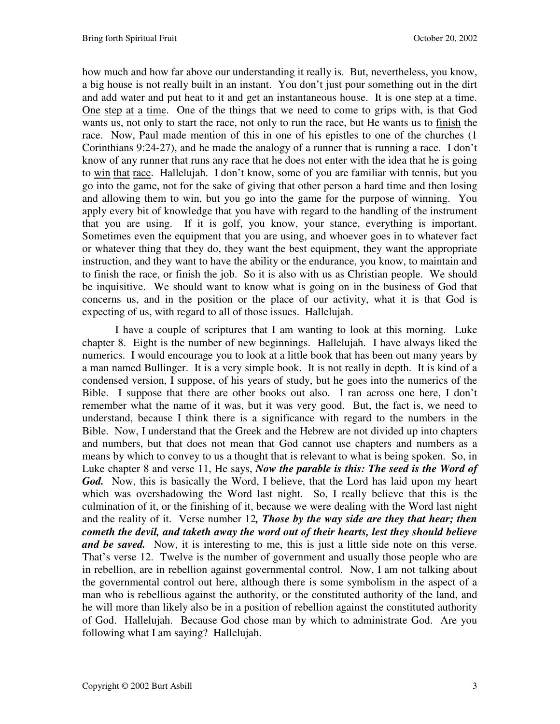how much and how far above our understanding it really is. But, nevertheless, you know, a big house is not really built in an instant. You don't just pour something out in the dirt and add water and put heat to it and get an instantaneous house. It is one step at a time. One step at a time. One of the things that we need to come to grips with, is that God wants us, not only to start the race, not only to run the race, but He wants us to finish the race. Now, Paul made mention of this in one of his epistles to one of the churches (1 Corinthians 9:24-27), and he made the analogy of a runner that is running a race. I don't know of any runner that runs any race that he does not enter with the idea that he is going to win that race. Hallelujah. I don't know, some of you are familiar with tennis, but you go into the game, not for the sake of giving that other person a hard time and then losing and allowing them to win, but you go into the game for the purpose of winning. You apply every bit of knowledge that you have with regard to the handling of the instrument that you are using. If it is golf, you know, your stance, everything is important. Sometimes even the equipment that you are using, and whoever goes in to whatever fact or whatever thing that they do, they want the best equipment, they want the appropriate instruction, and they want to have the ability or the endurance, you know, to maintain and to finish the race, or finish the job. So it is also with us as Christian people. We should be inquisitive. We should want to know what is going on in the business of God that concerns us, and in the position or the place of our activity, what it is that God is expecting of us, with regard to all of those issues. Hallelujah.

I have a couple of scriptures that I am wanting to look at this morning. Luke chapter 8. Eight is the number of new beginnings. Hallelujah. I have always liked the numerics. I would encourage you to look at a little book that has been out many years by a man named Bullinger. It is a very simple book. It is not really in depth. It is kind of a condensed version, I suppose, of his years of study, but he goes into the numerics of the Bible. I suppose that there are other books out also. I ran across one here, I don't remember what the name of it was, but it was very good. But, the fact is, we need to understand, because I think there is a significance with regard to the numbers in the Bible. Now, I understand that the Greek and the Hebrew are not divided up into chapters and numbers, but that does not mean that God cannot use chapters and numbers as a means by which to convey to us a thought that is relevant to what is being spoken. So, in Luke chapter 8 and verse 11, He says, *Now the parable is this: The seed is the Word of God.*Now, this is basically the Word, I believe, that the Lord has laid upon my heart which was overshadowing the Word last night. So, I really believe that this is the culmination of it, or the finishing of it, because we were dealing with the Word last night and the reality of it. Verse number 12*, Those by the way side are they that hear; then cometh the devil, and taketh away the word out of their hearts, lest they should believe and be saved.* Now, it is interesting to me, this is just a little side note on this verse. That's verse 12. Twelve is the number of government and usually those people who are in rebellion, are in rebellion against governmental control. Now, I am not talking about the governmental control out here, although there is some symbolism in the aspect of a man who is rebellious against the authority, or the constituted authority of the land, and he will more than likely also be in a position of rebellion against the constituted authority of God. Hallelujah. Because God chose man by which to administrate God. Are you following what I am saying? Hallelujah.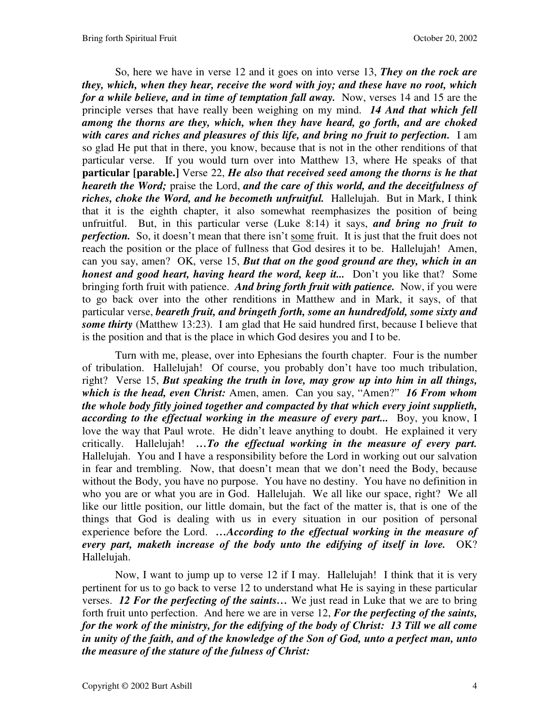So, here we have in verse 12 and it goes on into verse 13, *They on the rock are they, which, when they hear, receive the word with joy; and these have no root, which for a while believe, and in time of temptation fall away.* Now, verses 14 and 15 are the principle verses that have really been weighing on my mind. *14 And that which fell among the thorns are they, which, when they have heard, go forth, and are choked with cares and riches and pleasures of this life, and bring no fruit to perfection.* I am so glad He put that in there, you know, because that is not in the other renditions of that particular verse. If you would turn over into Matthew 13, where He speaks of that **particular [parable.]** Verse 22, *He also that received seed among the thorns is he that heareth the Word;* praise the Lord, *and the care of this world, and the deceitfulness of riches, choke the Word, and he becometh unfruitful.* Hallelujah. But in Mark, I think that it is the eighth chapter, it also somewhat reemphasizes the position of being unfruitful. But, in this particular verse (Luke 8:14) it says, *and bring no fruit to perfection.* So, it doesn't mean that there isn't some fruit. It is just that the fruit does not reach the position or the place of fullness that God desires it to be. Hallelujah! Amen, can you say, amen? OK, verse 15, *But that on the good ground are they, which in an honest and good heart, having heard the word, keep it...* Don't you like that? Some bringing forth fruit with patience. *And bring forth fruit with patience.* Now, if you were to go back over into the other renditions in Matthew and in Mark, it says, of that particular verse, *beareth fruit, and bringeth forth, some an hundredfold, some sixty and some thirty* (Matthew 13:23). I am glad that He said hundred first, because I believe that is the position and that is the place in which God desires you and I to be.

Turn with me, please, over into Ephesians the fourth chapter. Four is the number of tribulation. Hallelujah! Of course, you probably don't have too much tribulation, right? Verse 15, *But speaking the truth in love, may grow up into him in all things, which is the head, even Christ:* Amen, amen. Can you say, "Amen?" *16 From whom the whole body fitly joined together and compacted by that which every joint supplieth, according to the effectual working in the measure of every part...* Boy, you know, I love the way that Paul wrote. He didn't leave anything to doubt. He explained it very critically. Hallelujah! *…To the effectual working in the measure of every part.*  Hallelujah. You and I have a responsibility before the Lord in working out our salvation in fear and trembling. Now, that doesn't mean that we don't need the Body, because without the Body, you have no purpose. You have no destiny. You have no definition in who you are or what you are in God. Hallelujah. We all like our space, right? We all like our little position, our little domain, but the fact of the matter is, that is one of the things that God is dealing with us in every situation in our position of personal experience before the Lord. *…According to the effectual working in the measure of every part, maketh increase of the body unto the edifying of itself in love.* OK? Hallelujah.

Now, I want to jump up to verse 12 if I may. Hallelujah! I think that it is very pertinent for us to go back to verse 12 to understand what He is saying in these particular verses. *12 For the perfecting of the saints…* We just read in Luke that we are to bring forth fruit unto perfection. And here we are in verse 12, *For the perfecting of the saints, for the work of the ministry, for the edifying of the body of Christ: 13 Till we all come in unity of the faith, and of the knowledge of the Son of God, unto a perfect man, unto the measure of the stature of the fulness of Christ:*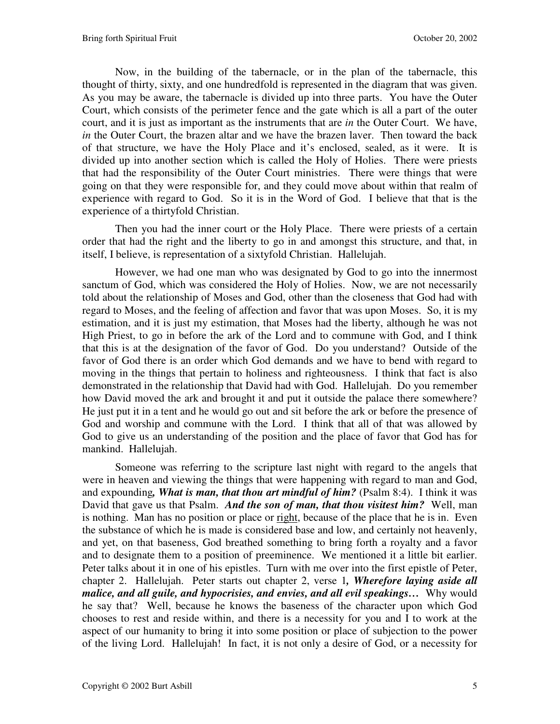Now, in the building of the tabernacle, or in the plan of the tabernacle, this thought of thirty, sixty, and one hundredfold is represented in the diagram that was given. As you may be aware, the tabernacle is divided up into three parts. You have the Outer Court, which consists of the perimeter fence and the gate which is all a part of the outer court, and it is just as important as the instruments that are *in* the Outer Court. We have, *in* the Outer Court, the brazen altar and we have the brazen laver. Then toward the back of that structure, we have the Holy Place and it's enclosed, sealed, as it were. It is divided up into another section which is called the Holy of Holies. There were priests that had the responsibility of the Outer Court ministries. There were things that were going on that they were responsible for, and they could move about within that realm of experience with regard to God. So it is in the Word of God. I believe that that is the experience of a thirtyfold Christian.

Then you had the inner court or the Holy Place. There were priests of a certain order that had the right and the liberty to go in and amongst this structure, and that, in itself, I believe, is representation of a sixtyfold Christian. Hallelujah.

However, we had one man who was designated by God to go into the innermost sanctum of God, which was considered the Holy of Holies. Now, we are not necessarily told about the relationship of Moses and God, other than the closeness that God had with regard to Moses, and the feeling of affection and favor that was upon Moses. So, it is my estimation, and it is just my estimation, that Moses had the liberty, although he was not High Priest, to go in before the ark of the Lord and to commune with God, and I think that this is at the designation of the favor of God. Do you understand? Outside of the favor of God there is an order which God demands and we have to bend with regard to moving in the things that pertain to holiness and righteousness. I think that fact is also demonstrated in the relationship that David had with God. Hallelujah. Do you remember how David moved the ark and brought it and put it outside the palace there somewhere? He just put it in a tent and he would go out and sit before the ark or before the presence of God and worship and commune with the Lord. I think that all of that was allowed by God to give us an understanding of the position and the place of favor that God has for mankind. Hallelujah.

Someone was referring to the scripture last night with regard to the angels that were in heaven and viewing the things that were happening with regard to man and God, and expounding*, What is man, that thou art mindful of him?* (Psalm 8:4). I think it was David that gave us that Psalm. *And the son of man, that thou visitest him?* Well, man is nothing. Man has no position or place or right, because of the place that he is in. Even the substance of which he is made is considered base and low, and certainly not heavenly, and yet, on that baseness, God breathed something to bring forth a royalty and a favor and to designate them to a position of preeminence. We mentioned it a little bit earlier. Peter talks about it in one of his epistles. Turn with me over into the first epistle of Peter, chapter 2. Hallelujah. Peter starts out chapter 2, verse 1*, Wherefore laying aside all malice, and all guile, and hypocrisies, and envies, and all evil speakings…* Why would he say that? Well, because he knows the baseness of the character upon which God chooses to rest and reside within, and there is a necessity for you and I to work at the aspect of our humanity to bring it into some position or place of subjection to the power of the living Lord. Hallelujah! In fact, it is not only a desire of God, or a necessity for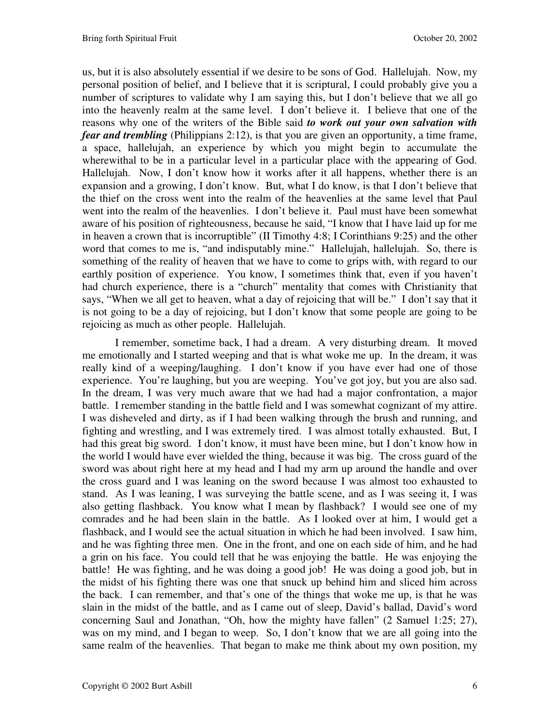us, but it is also absolutely essential if we desire to be sons of God. Hallelujah. Now, my personal position of belief, and I believe that it is scriptural, I could probably give you a number of scriptures to validate why I am saying this, but I don't believe that we all go into the heavenly realm at the same level. I don't believe it. I believe that one of the reasons why one of the writers of the Bible said *to work out your own salvation with fear and trembling* (Philippians 2:12), is that you are given an opportunity, a time frame, a space, hallelujah, an experience by which you might begin to accumulate the wherewithal to be in a particular level in a particular place with the appearing of God. Hallelujah. Now, I don't know how it works after it all happens, whether there is an expansion and a growing, I don't know. But, what I do know, is that I don't believe that the thief on the cross went into the realm of the heavenlies at the same level that Paul went into the realm of the heavenlies. I don't believe it. Paul must have been somewhat aware of his position of righteousness, because he said, "I know that I have laid up for me in heaven a crown that is incorruptible" (II Timothy 4:8; I Corinthians 9:25) and the other word that comes to me is, "and indisputably mine." Hallelujah, hallelujah. So, there is something of the reality of heaven that we have to come to grips with, with regard to our earthly position of experience. You know, I sometimes think that, even if you haven't had church experience, there is a "church" mentality that comes with Christianity that says, "When we all get to heaven, what a day of rejoicing that will be." I don't say that it is not going to be a day of rejoicing, but I don't know that some people are going to be rejoicing as much as other people. Hallelujah.

I remember, sometime back, I had a dream. A very disturbing dream. It moved me emotionally and I started weeping and that is what woke me up. In the dream, it was really kind of a weeping/laughing. I don't know if you have ever had one of those experience. You're laughing, but you are weeping. You've got joy, but you are also sad. In the dream, I was very much aware that we had had a major confrontation, a major battle. I remember standing in the battle field and I was somewhat cognizant of my attire. I was disheveled and dirty, as if I had been walking through the brush and running, and fighting and wrestling, and I was extremely tired. I was almost totally exhausted. But, I had this great big sword. I don't know, it must have been mine, but I don't know how in the world I would have ever wielded the thing, because it was big. The cross guard of the sword was about right here at my head and I had my arm up around the handle and over the cross guard and I was leaning on the sword because I was almost too exhausted to stand. As I was leaning, I was surveying the battle scene, and as I was seeing it, I was also getting flashback. You know what I mean by flashback? I would see one of my comrades and he had been slain in the battle. As I looked over at him, I would get a flashback, and I would see the actual situation in which he had been involved. I saw him, and he was fighting three men. One in the front, and one on each side of him, and he had a grin on his face. You could tell that he was enjoying the battle. He was enjoying the battle! He was fighting, and he was doing a good job! He was doing a good job, but in the midst of his fighting there was one that snuck up behind him and sliced him across the back. I can remember, and that's one of the things that woke me up, is that he was slain in the midst of the battle, and as I came out of sleep, David's ballad, David's word concerning Saul and Jonathan, "Oh, how the mighty have fallen" (2 Samuel 1:25; 27), was on my mind, and I began to weep. So, I don't know that we are all going into the same realm of the heavenlies. That began to make me think about my own position, my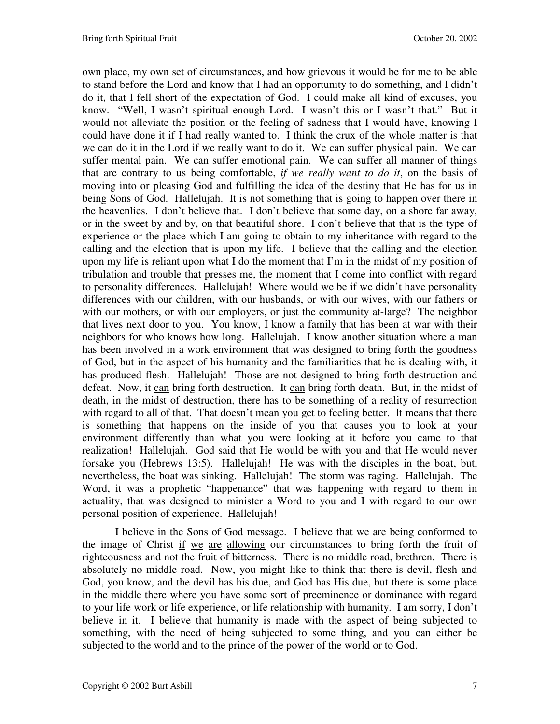own place, my own set of circumstances, and how grievous it would be for me to be able to stand before the Lord and know that I had an opportunity to do something, and I didn't do it, that I fell short of the expectation of God. I could make all kind of excuses, you know. "Well, I wasn't spiritual enough Lord. I wasn't this or I wasn't that." But it would not alleviate the position or the feeling of sadness that I would have, knowing I could have done it if I had really wanted to. I think the crux of the whole matter is that we can do it in the Lord if we really want to do it. We can suffer physical pain. We can suffer mental pain. We can suffer emotional pain. We can suffer all manner of things that are contrary to us being comfortable, *if we really want to do it*, on the basis of moving into or pleasing God and fulfilling the idea of the destiny that He has for us in being Sons of God. Hallelujah. It is not something that is going to happen over there in the heavenlies. I don't believe that. I don't believe that some day, on a shore far away, or in the sweet by and by, on that beautiful shore. I don't believe that that is the type of experience or the place which I am going to obtain to my inheritance with regard to the calling and the election that is upon my life. I believe that the calling and the election upon my life is reliant upon what I do the moment that I'm in the midst of my position of tribulation and trouble that presses me, the moment that I come into conflict with regard to personality differences. Hallelujah! Where would we be if we didn't have personality differences with our children, with our husbands, or with our wives, with our fathers or with our mothers, or with our employers, or just the community at-large? The neighbor that lives next door to you. You know, I know a family that has been at war with their neighbors for who knows how long. Hallelujah. I know another situation where a man has been involved in a work environment that was designed to bring forth the goodness of God, but in the aspect of his humanity and the familiarities that he is dealing with, it has produced flesh. Hallelujah! Those are not designed to bring forth destruction and defeat. Now, it can bring forth destruction. It can bring forth death. But, in the midst of death, in the midst of destruction, there has to be something of a reality of resurrection with regard to all of that. That doesn't mean you get to feeling better. It means that there is something that happens on the inside of you that causes you to look at your environment differently than what you were looking at it before you came to that realization! Hallelujah. God said that He would be with you and that He would never forsake you (Hebrews 13:5). Hallelujah! He was with the disciples in the boat, but, nevertheless, the boat was sinking. Hallelujah! The storm was raging. Hallelujah. The Word, it was a prophetic "happenance" that was happening with regard to them in actuality, that was designed to minister a Word to you and I with regard to our own personal position of experience. Hallelujah!

I believe in the Sons of God message. I believe that we are being conformed to the image of Christ if we are allowing our circumstances to bring forth the fruit of righteousness and not the fruit of bitterness. There is no middle road, brethren. There is absolutely no middle road. Now, you might like to think that there is devil, flesh and God, you know, and the devil has his due, and God has His due, but there is some place in the middle there where you have some sort of preeminence or dominance with regard to your life work or life experience, or life relationship with humanity. I am sorry, I don't believe in it. I believe that humanity is made with the aspect of being subjected to something, with the need of being subjected to some thing, and you can either be subjected to the world and to the prince of the power of the world or to God.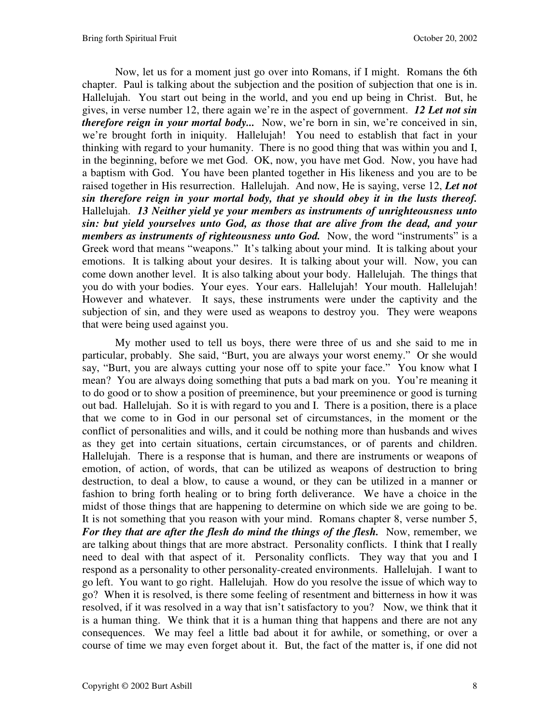Now, let us for a moment just go over into Romans, if I might. Romans the 6th chapter. Paul is talking about the subjection and the position of subjection that one is in. Hallelujah. You start out being in the world, and you end up being in Christ. But, he gives, in verse number 12, there again we're in the aspect of government. *12 Let not sin therefore reign in your mortal body...* Now, we're born in sin, we're conceived in sin, we're brought forth in iniquity. Hallelujah! You need to establish that fact in your thinking with regard to your humanity. There is no good thing that was within you and I, in the beginning, before we met God. OK, now, you have met God. Now, you have had a baptism with God. You have been planted together in His likeness and you are to be raised together in His resurrection. Hallelujah. And now, He is saying, verse 12, *Let not sin therefore reign in your mortal body, that ye should obey it in the lusts thereof.* Hallelujah. *13 Neither yield ye your members as instruments of unrighteousness unto sin: but yield yourselves unto God, as those that are alive from the dead, and your members as instruments of righteousness unto God.* Now, the word "instruments" is a Greek word that means "weapons." It's talking about your mind. It is talking about your emotions. It is talking about your desires. It is talking about your will. Now, you can come down another level. It is also talking about your body. Hallelujah. The things that you do with your bodies. Your eyes. Your ears. Hallelujah! Your mouth. Hallelujah! However and whatever. It says, these instruments were under the captivity and the subjection of sin, and they were used as weapons to destroy you. They were weapons that were being used against you.

My mother used to tell us boys, there were three of us and she said to me in particular, probably. She said, "Burt, you are always your worst enemy." Or she would say, "Burt, you are always cutting your nose off to spite your face." You know what I mean? You are always doing something that puts a bad mark on you. You're meaning it to do good or to show a position of preeminence, but your preeminence or good is turning out bad. Hallelujah. So it is with regard to you and I. There is a position, there is a place that we come to in God in our personal set of circumstances, in the moment or the conflict of personalities and wills, and it could be nothing more than husbands and wives as they get into certain situations, certain circumstances, or of parents and children. Hallelujah. There is a response that is human, and there are instruments or weapons of emotion, of action, of words, that can be utilized as weapons of destruction to bring destruction, to deal a blow, to cause a wound, or they can be utilized in a manner or fashion to bring forth healing or to bring forth deliverance. We have a choice in the midst of those things that are happening to determine on which side we are going to be. It is not something that you reason with your mind. Romans chapter 8, verse number 5, *For they that are after the flesh do mind the things of the flesh.* Now, remember, we are talking about things that are more abstract. Personality conflicts. I think that I really need to deal with that aspect of it. Personality conflicts. They way that you and I respond as a personality to other personality-created environments. Hallelujah. I want to go left. You want to go right. Hallelujah. How do you resolve the issue of which way to go? When it is resolved, is there some feeling of resentment and bitterness in how it was resolved, if it was resolved in a way that isn't satisfactory to you? Now, we think that it is a human thing. We think that it is a human thing that happens and there are not any consequences. We may feel a little bad about it for awhile, or something, or over a course of time we may even forget about it. But, the fact of the matter is, if one did not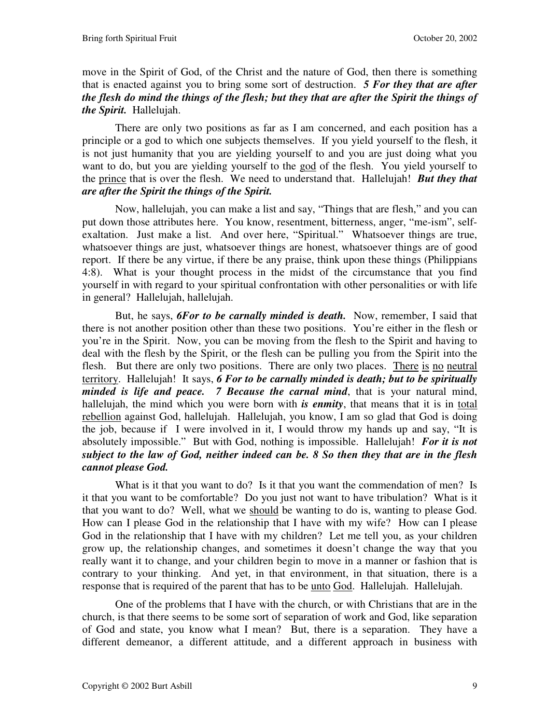move in the Spirit of God, of the Christ and the nature of God, then there is something that is enacted against you to bring some sort of destruction. *5 For they that are after the flesh do mind the things of the flesh; but they that are after the Spirit the things of the Spirit.* Hallelujah.

There are only two positions as far as I am concerned, and each position has a principle or a god to which one subjects themselves. If you yield yourself to the flesh, it is not just humanity that you are yielding yourself to and you are just doing what you want to do, but you are yielding yourself to the god of the flesh. You yield yourself to the prince that is over the flesh. We need to understand that. Hallelujah! *But they that are after the Spirit the things of the Spirit.* 

Now, hallelujah, you can make a list and say, "Things that are flesh," and you can put down those attributes here. You know, resentment, bitterness, anger, "me-ism", selfexaltation. Just make a list. And over here, "Spiritual." Whatsoever things are true, whatsoever things are just, whatsoever things are honest, whatsoever things are of good report. If there be any virtue, if there be any praise, think upon these things (Philippians 4:8). What is your thought process in the midst of the circumstance that you find yourself in with regard to your spiritual confrontation with other personalities or with life in general? Hallelujah, hallelujah.

But, he says, *6For to be carnally minded is death.* Now, remember, I said that there is not another position other than these two positions. You're either in the flesh or you're in the Spirit. Now, you can be moving from the flesh to the Spirit and having to deal with the flesh by the Spirit, or the flesh can be pulling you from the Spirit into the flesh. But there are only two positions. There are only two places. There is no neutral territory. Hallelujah! It says, *6 For to be carnally minded is death; but to be spiritually minded is life and peace. 7 Because the carnal mind*, that is your natural mind, hallelujah, the mind which you were born with *is enmity*, that means that it is in total rebellion against God, hallelujah. Hallelujah, you know, I am so glad that God is doing the job, because if I were involved in it, I would throw my hands up and say, "It is absolutely impossible." But with God, nothing is impossible. Hallelujah! *For it is not subject to the law of God, neither indeed can be. 8 So then they that are in the flesh cannot please God.*

What is it that you want to do? Is it that you want the commendation of men? Is it that you want to be comfortable? Do you just not want to have tribulation? What is it that you want to do? Well, what we should be wanting to do is, wanting to please God. How can I please God in the relationship that I have with my wife? How can I please God in the relationship that I have with my children? Let me tell you, as your children grow up, the relationship changes, and sometimes it doesn't change the way that you really want it to change, and your children begin to move in a manner or fashion that is contrary to your thinking. And yet, in that environment, in that situation, there is a response that is required of the parent that has to be unto God. Hallelujah. Hallelujah.

One of the problems that I have with the church, or with Christians that are in the church, is that there seems to be some sort of separation of work and God, like separation of God and state, you know what I mean? But, there is a separation. They have a different demeanor, a different attitude, and a different approach in business with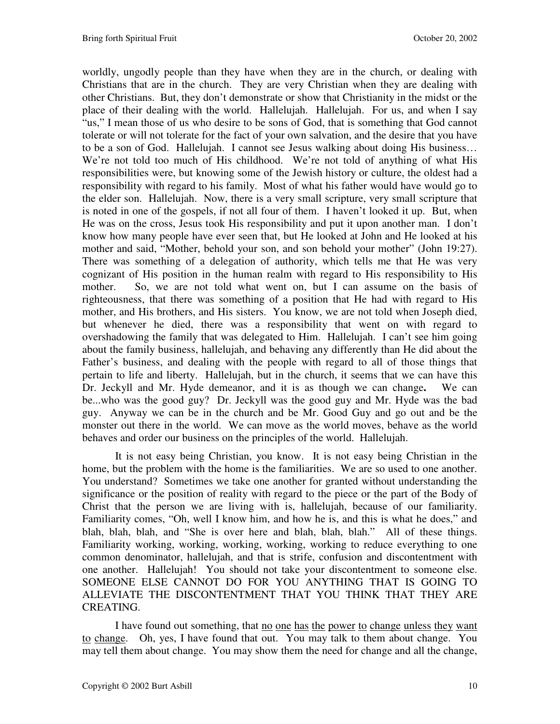worldly, ungodly people than they have when they are in the church, or dealing with Christians that are in the church. They are very Christian when they are dealing with other Christians. But, they don't demonstrate or show that Christianity in the midst or the place of their dealing with the world. Hallelujah. Hallelujah. For us, and when I say "us," I mean those of us who desire to be sons of God, that is something that God cannot tolerate or will not tolerate for the fact of your own salvation, and the desire that you have to be a son of God. Hallelujah. I cannot see Jesus walking about doing His business… We're not told too much of His childhood. We're not told of anything of what His responsibilities were, but knowing some of the Jewish history or culture, the oldest had a responsibility with regard to his family. Most of what his father would have would go to the elder son. Hallelujah. Now, there is a very small scripture, very small scripture that is noted in one of the gospels, if not all four of them. I haven't looked it up. But, when He was on the cross, Jesus took His responsibility and put it upon another man. I don't know how many people have ever seen that, but He looked at John and He looked at his mother and said, "Mother, behold your son, and son behold your mother" (John 19:27). There was something of a delegation of authority, which tells me that He was very cognizant of His position in the human realm with regard to His responsibility to His mother. So, we are not told what went on, but I can assume on the basis of righteousness, that there was something of a position that He had with regard to His mother, and His brothers, and His sisters. You know, we are not told when Joseph died, but whenever he died, there was a responsibility that went on with regard to overshadowing the family that was delegated to Him. Hallelujah. I can't see him going about the family business, hallelujah, and behaving any differently than He did about the Father's business, and dealing with the people with regard to all of those things that pertain to life and liberty. Hallelujah, but in the church, it seems that we can have this Dr. Jeckyll and Mr. Hyde demeanor, and it is as though we can change**.** We can be...who was the good guy? Dr. Jeckyll was the good guy and Mr. Hyde was the bad guy. Anyway we can be in the church and be Mr. Good Guy and go out and be the monster out there in the world. We can move as the world moves, behave as the world behaves and order our business on the principles of the world. Hallelujah.

It is not easy being Christian, you know. It is not easy being Christian in the home, but the problem with the home is the familiarities. We are so used to one another. You understand? Sometimes we take one another for granted without understanding the significance or the position of reality with regard to the piece or the part of the Body of Christ that the person we are living with is, hallelujah, because of our familiarity. Familiarity comes, "Oh, well I know him, and how he is, and this is what he does," and blah, blah, blah, and "She is over here and blah, blah, blah." All of these things. Familiarity working, working, working, working, working to reduce everything to one common denominator, hallelujah, and that is strife, confusion and discontentment with one another. Hallelujah! You should not take your discontentment to someone else. SOMEONE ELSE CANNOT DO FOR YOU ANYTHING THAT IS GOING TO ALLEVIATE THE DISCONTENTMENT THAT YOU THINK THAT THEY ARE CREATING.

I have found out something, that no one has the power to change unless they want to change. Oh, yes, I have found that out. You may talk to them about change. You may tell them about change. You may show them the need for change and all the change,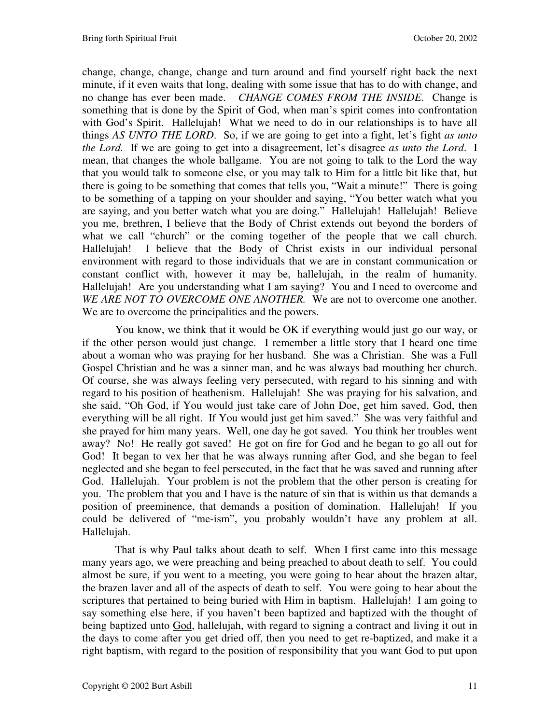change, change, change, change and turn around and find yourself right back the next minute, if it even waits that long, dealing with some issue that has to do with change, and no change has ever been made. *CHANGE COMES FROM THE INSIDE*. Change is something that is done by the Spirit of God, when man's spirit comes into confrontation with God's Spirit. Hallelujah! What we need to do in our relationships is to have all things *AS UNTO THE LORD*. So, if we are going to get into a fight, let's fight *as unto the Lord.* If we are going to get into a disagreement, let's disagree *as unto the Lord*. I mean, that changes the whole ballgame. You are not going to talk to the Lord the way that you would talk to someone else, or you may talk to Him for a little bit like that, but there is going to be something that comes that tells you, "Wait a minute!" There is going to be something of a tapping on your shoulder and saying, "You better watch what you are saying, and you better watch what you are doing." Hallelujah! Hallelujah! Believe you me, brethren, I believe that the Body of Christ extends out beyond the borders of what we call "church" or the coming together of the people that we call church. Hallelujah! I believe that the Body of Christ exists in our individual personal environment with regard to those individuals that we are in constant communication or constant conflict with, however it may be, hallelujah, in the realm of humanity. Hallelujah! Are you understanding what I am saying? You and I need to overcome and *WE ARE NOT TO OVERCOME ONE ANOTHER.* We are not to overcome one another. We are to overcome the principalities and the powers.

You know, we think that it would be OK if everything would just go our way, or if the other person would just change. I remember a little story that I heard one time about a woman who was praying for her husband. She was a Christian. She was a Full Gospel Christian and he was a sinner man, and he was always bad mouthing her church. Of course, she was always feeling very persecuted, with regard to his sinning and with regard to his position of heathenism. Hallelujah! She was praying for his salvation, and she said, "Oh God, if You would just take care of John Doe, get him saved, God, then everything will be all right. If You would just get him saved." She was very faithful and she prayed for him many years. Well, one day he got saved. You think her troubles went away? No! He really got saved! He got on fire for God and he began to go all out for God! It began to vex her that he was always running after God, and she began to feel neglected and she began to feel persecuted, in the fact that he was saved and running after God. Hallelujah. Your problem is not the problem that the other person is creating for you. The problem that you and I have is the nature of sin that is within us that demands a position of preeminence, that demands a position of domination. Hallelujah! If you could be delivered of "me-ism", you probably wouldn't have any problem at all. Hallelujah.

That is why Paul talks about death to self. When I first came into this message many years ago, we were preaching and being preached to about death to self. You could almost be sure, if you went to a meeting, you were going to hear about the brazen altar, the brazen laver and all of the aspects of death to self. You were going to hear about the scriptures that pertained to being buried with Him in baptism. Hallelujah! I am going to say something else here, if you haven't been baptized and baptized with the thought of being baptized unto God, hallelujah, with regard to signing a contract and living it out in the days to come after you get dried off, then you need to get re-baptized, and make it a right baptism, with regard to the position of responsibility that you want God to put upon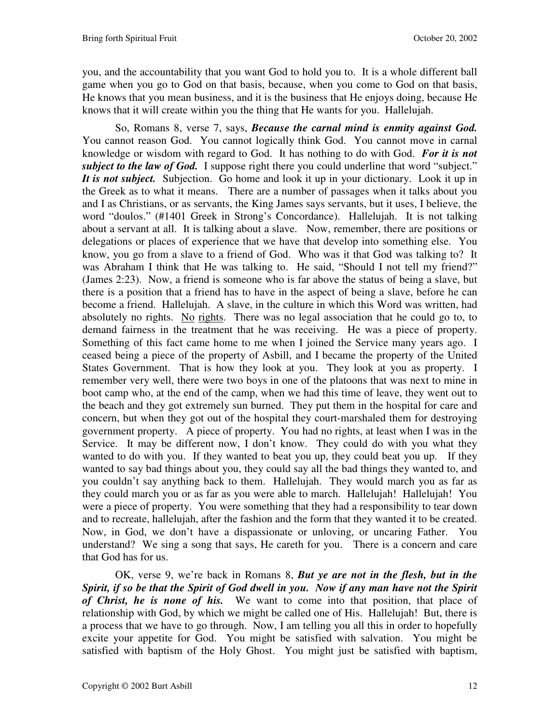you, and the accountability that you want God to hold you to. It is a whole different ball game when you go to God on that basis, because, when you come to God on that basis, He knows that you mean business, and it is the business that He enjoys doing, because He knows that it will create within you the thing that He wants for you. Hallelujah.

So, Romans 8, verse 7, says, *Because the carnal mind is enmity against God.* You cannot reason God. You cannot logically think God. You cannot move in carnal knowledge or wisdom with regard to God. It has nothing to do with God. *For it is not subject to the law of God.* I suppose right there you could underline that word "subject." *It is not subject.* Subjection. Go home and look it up in your dictionary. Look it up in the Greek as to what it means. There are a number of passages when it talks about you and I as Christians, or as servants, the King James says servants, but it uses, I believe, the word "doulos." (#1401 Greek in Strong's Concordance). Hallelujah. It is not talking about a servant at all. It is talking about a slave. Now, remember, there are positions or delegations or places of experience that we have that develop into something else. You know, you go from a slave to a friend of God. Who was it that God was talking to? It was Abraham I think that He was talking to. He said, "Should I not tell my friend?" (James 2:23). Now, a friend is someone who is far above the status of being a slave, but there is a position that a friend has to have in the aspect of being a slave, before he can become a friend. Hallelujah. A slave, in the culture in which this Word was written, had absolutely no rights. No rights. There was no legal association that he could go to, to demand fairness in the treatment that he was receiving. He was a piece of property. Something of this fact came home to me when I joined the Service many years ago. I ceased being a piece of the property of Asbill, and I became the property of the United States Government. That is how they look at you. They look at you as property. I remember very well, there were two boys in one of the platoons that was next to mine in boot camp who, at the end of the camp, when we had this time of leave, they went out to the beach and they got extremely sun burned. They put them in the hospital for care and concern, but when they got out of the hospital they court-marshaled them for destroying government property. A piece of property. You had no rights, at least when I was in the Service. It may be different now, I don't know. They could do with you what they wanted to do with you. If they wanted to beat you up, they could beat you up. If they wanted to say bad things about you, they could say all the bad things they wanted to, and you couldn't say anything back to them. Hallelujah. They would march you as far as they could march you or as far as you were able to march. Hallelujah! Hallelujah! You were a piece of property. You were something that they had a responsibility to tear down and to recreate, hallelujah, after the fashion and the form that they wanted it to be created. Now, in God, we don't have a dispassionate or unloving, or uncaring Father. You understand? We sing a song that says, He careth for you. There is a concern and care that God has for us.

OK, verse 9, we're back in Romans 8, *But ye are not in the flesh, but in the Spirit, if so be that the Spirit of God dwell in you. Now if any man have not the Spirit of Christ, he is none of his.* We want to come into that position, that place of relationship with God, by which we might be called one of His. Hallelujah! But, there is a process that we have to go through. Now, I am telling you all this in order to hopefully excite your appetite for God. You might be satisfied with salvation. You might be satisfied with baptism of the Holy Ghost. You might just be satisfied with baptism,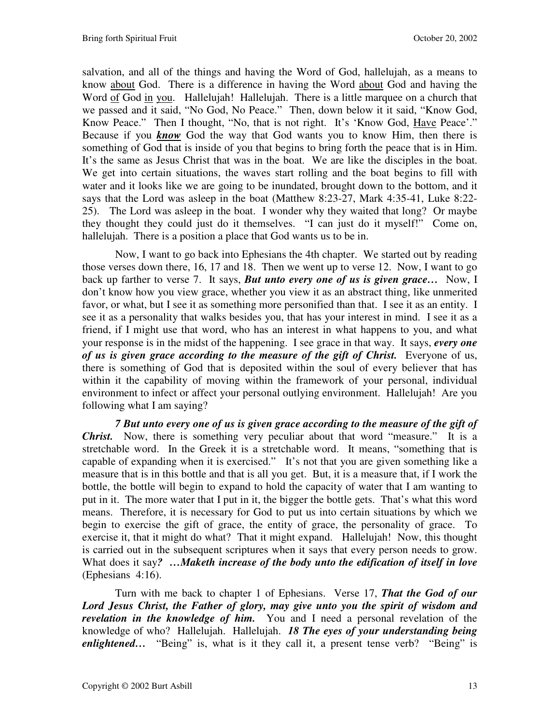salvation, and all of the things and having the Word of God, hallelujah, as a means to know about God. There is a difference in having the Word about God and having the Word of God in you. Hallelujah! Hallelujah. There is a little marquee on a church that we passed and it said, "No God, No Peace." Then, down below it it said, "Know God, Know Peace." Then I thought, "No, that is not right. It's 'Know God, Have Peace'." Because if you *know* God the way that God wants you to know Him, then there is something of God that is inside of you that begins to bring forth the peace that is in Him. It's the same as Jesus Christ that was in the boat. We are like the disciples in the boat. We get into certain situations, the waves start rolling and the boat begins to fill with water and it looks like we are going to be inundated, brought down to the bottom, and it says that the Lord was asleep in the boat (Matthew 8:23-27, Mark 4:35-41, Luke 8:22- 25). The Lord was asleep in the boat. I wonder why they waited that long? Or maybe they thought they could just do it themselves. "I can just do it myself!" Come on, hallelujah. There is a position a place that God wants us to be in.

Now, I want to go back into Ephesians the 4th chapter. We started out by reading those verses down there, 16, 17 and 18. Then we went up to verse 12. Now, I want to go back up farther to verse 7. It says, *But unto every one of us is given grace…* Now, I don't know how you view grace, whether you view it as an abstract thing, like unmerited favor, or what, but I see it as something more personified than that. I see it as an entity. I see it as a personality that walks besides you, that has your interest in mind. I see it as a friend, if I might use that word, who has an interest in what happens to you, and what your response is in the midst of the happening. I see grace in that way. It says, *every one of us is given grace according to the measure of the gift of Christ.* Everyone of us, there is something of God that is deposited within the soul of every believer that has within it the capability of moving within the framework of your personal, individual environment to infect or affect your personal outlying environment. Hallelujah! Are you following what I am saying?

*7 But unto every one of us is given grace according to the measure of the gift of Christ.* Now, there is something very peculiar about that word "measure." It is a stretchable word. In the Greek it is a stretchable word. It means, "something that is capable of expanding when it is exercised." It's not that you are given something like a measure that is in this bottle and that is all you get. But, it is a measure that, if I work the bottle, the bottle will begin to expand to hold the capacity of water that I am wanting to put in it. The more water that I put in it, the bigger the bottle gets. That's what this word means. Therefore, it is necessary for God to put us into certain situations by which we begin to exercise the gift of grace, the entity of grace, the personality of grace. To exercise it, that it might do what? That it might expand. Hallelujah! Now, this thought is carried out in the subsequent scriptures when it says that every person needs to grow. What does it say*? …Maketh increase of the body unto the edification of itself in love* (Ephesians 4:16).

Turn with me back to chapter 1 of Ephesians. Verse 17, *That the God of our Lord Jesus Christ, the Father of glory, may give unto you the spirit of wisdom and revelation in the knowledge of him.* You and I need a personal revelation of the knowledge of who? Hallelujah. Hallelujah. *18 The eyes of your understanding being enlightened...* "Being" is, what is it they call it, a present tense verb? "Being" is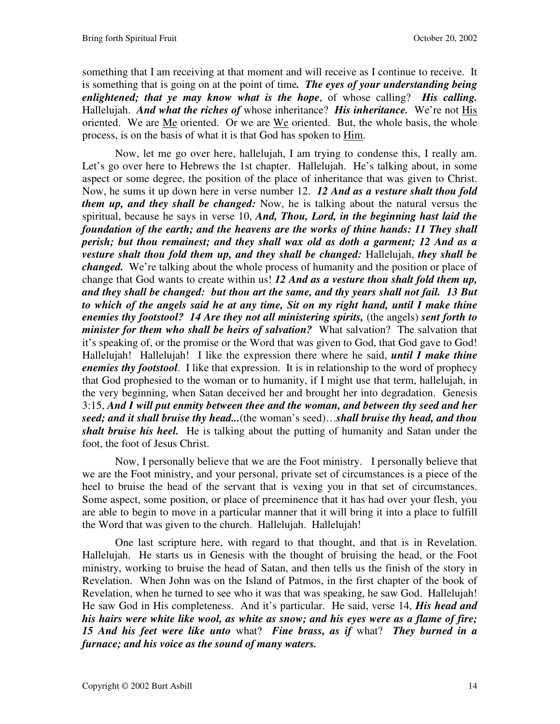something that I am receiving at that moment and will receive as I continue to receive. It is something that is going on at the point of time*. The eyes of your understanding being enlightened; that ye may know what is the hope*, of whose calling? *His calling.* Hallelujah. *And what the riches of* whose inheritance? *His inheritance.* We're not His oriented. We are Me oriented. Or we are We oriented. But, the whole basis, the whole process, is on the basis of what it is that God has spoken to Him.

Now, let me go over here, hallelujah, I am trying to condense this, I really am. Let's go over here to Hebrews the 1st chapter. Hallelujah. He's talking about, in some aspect or some degree, the position of the place of inheritance that was given to Christ. Now, he sums it up down here in verse number 12. *12 And as a vesture shalt thou fold them up, and they shall be changed:* Now, he is talking about the natural versus the spiritual, because he says in verse 10, *And, Thou, Lord, in the beginning hast laid the foundation of the earth; and the heavens are the works of thine hands: 11 They shall perish; but thou remainest; and they shall wax old as doth a garment; 12 And as a vesture shalt thou fold them up, and they shall be changed:* Hallelujah, *they shall be changed.* We're talking about the whole process of humanity and the position or place of change that God wants to create within us! *12 And as a vesture thou shalt fold them up, and they shall be changed: but thou art the same, and thy years shall not fail. 13 But to which of the angels said he at any time, Sit on my right hand, until I make thine enemies thy footstool? 14 Are they not all ministering spirits,* (the angels) *sent forth to minister for them who shall be heirs of salvation?* What salvation? The salvation that it's speaking of, or the promise or the Word that was given to God, that God gave to God! Hallelujah! Hallelujah! I like the expression there where he said, *until I make thine enemies thy footstool*. I like that expression. It is in relationship to the word of prophecy that God prophesied to the woman or to humanity, if I might use that term, hallelujah, in the very beginning, when Satan deceived her and brought her into degradation. Genesis 3:15, *And I will put enmity between thee and the woman, and between thy seed and her seed; and it shall bruise thy head...*(the woman's seed)…*shall bruise thy head, and thou shalt bruise his heel.* He is talking about the putting of humanity and Satan under the foot, the foot of Jesus Christ.

Now, I personally believe that we are the Foot ministry. I personally believe that we are the Foot ministry, and your personal, private set of circumstances is a piece of the heel to bruise the head of the servant that is vexing you in that set of circumstances. Some aspect, some position, or place of preeminence that it has had over your flesh, you are able to begin to move in a particular manner that it will bring it into a place to fulfill the Word that was given to the church. Hallelujah. Hallelujah!

One last scripture here, with regard to that thought, and that is in Revelation. Hallelujah. He starts us in Genesis with the thought of bruising the head, or the Foot ministry, working to bruise the head of Satan, and then tells us the finish of the story in Revelation. When John was on the Island of Patmos, in the first chapter of the book of Revelation, when he turned to see who it was that was speaking, he saw God. Hallelujah! He saw God in His completeness. And it's particular. He said, verse 14, *His head and his hairs were white like wool, as white as snow; and his eyes were as a flame of fire; 15 And his feet were like unto* what? *Fine brass, as if* what? *They burned in a furnace; and his voice as the sound of many waters.*